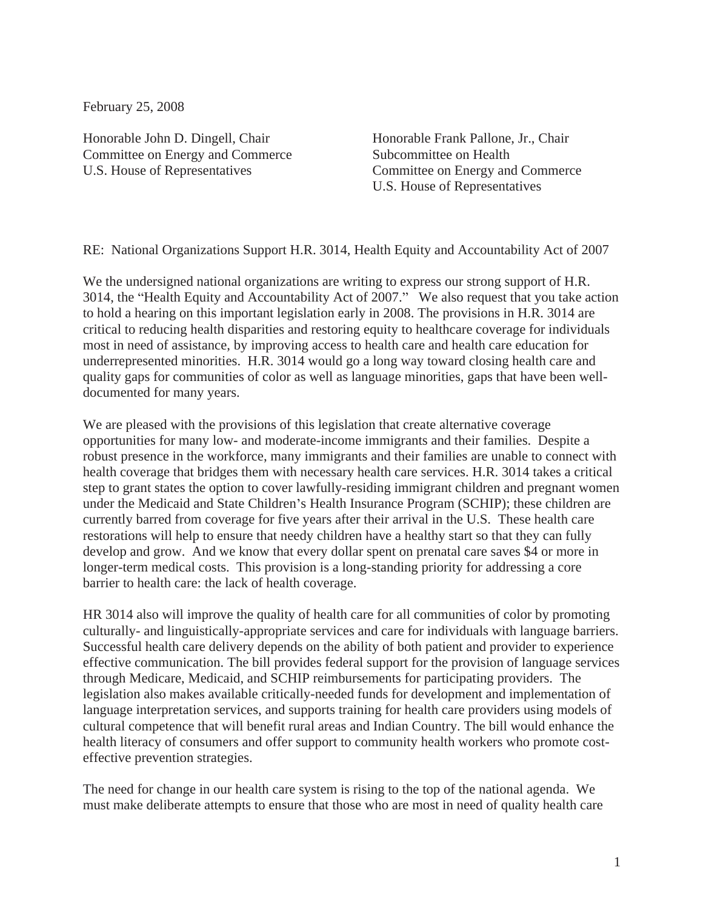February 25, 2008

Honorable John D. Dingell, Chair Committee on Energy and Commerce U.S. House of Representatives

Honorable Frank Pallone, Jr., Chair Subcommittee on Health Committee on Energy and Commerce U.S. House of Representatives

RE: National Organizations Support H.R. 3014, Health Equity and Accountability Act of 2007

We the undersigned national organizations are writing to express our strong support of H.R. 3014, the "Health Equity and Accountability Act of 2007." We also request that you take action to hold a hearing on this important legislation early in 2008. The provisions in H.R. 3014 are critical to reducing health disparities and restoring equity to healthcare coverage for individuals most in need of assistance, by improving access to health care and health care education for underrepresented minorities. H.R. 3014 would go a long way toward closing health care and quality gaps for communities of color as well as language minorities, gaps that have been welldocumented for many years.

We are pleased with the provisions of this legislation that create alternative coverage opportunities for many low- and moderate-income immigrants and their families. Despite a robust presence in the workforce, many immigrants and their families are unable to connect with health coverage that bridges them with necessary health care services. H.R. 3014 takes a critical step to grant states the option to cover lawfully-residing immigrant children and pregnant women under the Medicaid and State Children's Health Insurance Program (SCHIP); these children are currently barred from coverage for five years after their arrival in the U.S. These health care restorations will help to ensure that needy children have a healthy start so that they can fully develop and grow. And we know that every dollar spent on prenatal care saves \$4 or more in longer-term medical costs. This provision is a long-standing priority for addressing a core barrier to health care: the lack of health coverage.

HR 3014 also will improve the quality of health care for all communities of color by promoting culturally- and linguistically-appropriate services and care for individuals with language barriers. Successful health care delivery depends on the ability of both patient and provider to experience effective communication. The bill provides federal support for the provision of language services through Medicare, Medicaid, and SCHIP reimbursements for participating providers. The legislation also makes available critically-needed funds for development and implementation of language interpretation services, and supports training for health care providers using models of cultural competence that will benefit rural areas and Indian Country. The bill would enhance the health literacy of consumers and offer support to community health workers who promote costeffective prevention strategies.

The need for change in our health care system is rising to the top of the national agenda. We must make deliberate attempts to ensure that those who are most in need of quality health care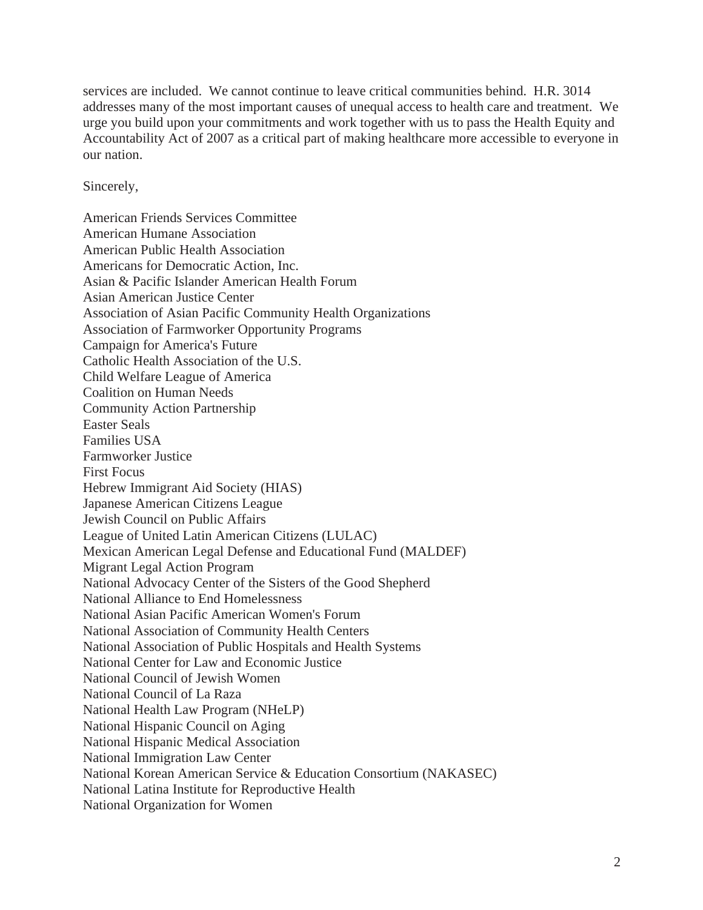services are included. We cannot continue to leave critical communities behind. H.R. 3014 addresses many of the most important causes of unequal access to health care and treatment. We urge you build upon your commitments and work together with us to pass the Health Equity and Accountability Act of 2007 as a critical part of making healthcare more accessible to everyone in our nation.

Sincerely,

American Friends Services Committee American Humane Association American Public Health Association Americans for Democratic Action, Inc. Asian & Pacific Islander American Health Forum Asian American Justice Center Association of Asian Pacific Community Health Organizations Association of Farmworker Opportunity Programs Campaign for America's Future Catholic Health Association of the U.S. Child Welfare League of America Coalition on Human Needs Community Action Partnership Easter Seals Families USA Farmworker Justice First Focus Hebrew Immigrant Aid Society (HIAS) Japanese American Citizens League Jewish Council on Public Affairs League of United Latin American Citizens (LULAC) Mexican American Legal Defense and Educational Fund (MALDEF) Migrant Legal Action Program National Advocacy Center of the Sisters of the Good Shepherd National Alliance to End Homelessness National Asian Pacific American Women's Forum National Association of Community Health Centers National Association of Public Hospitals and Health Systems National Center for Law and Economic Justice National Council of Jewish Women National Council of La Raza National Health Law Program (NHeLP) National Hispanic Council on Aging National Hispanic Medical Association National Immigration Law Center National Korean American Service & Education Consortium (NAKASEC) National Latina Institute for Reproductive Health National Organization for Women